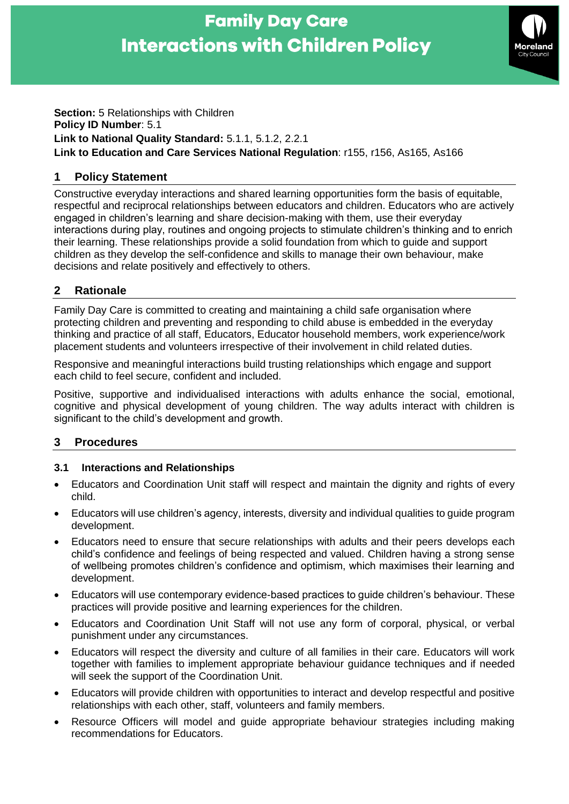# **Family Day Care Interactions with Children Policy**



#### **Section:** 5 Relationships with Children **Policy ID Number**: 5.1 **Link to National Quality Standard:** 5.1.1, 5.1.2, 2.2.1 **Link to Education and Care Services National Regulation**: r155, r156, As165, As166

# **1 Policy Statement**

Constructive everyday interactions and shared learning opportunities form the basis of equitable, respectful and reciprocal relationships between educators and children. Educators who are actively engaged in children's learning and share decision-making with them, use their everyday interactions during play, routines and ongoing projects to stimulate children's thinking and to enrich their learning. These relationships provide a solid foundation from which to guide and support children as they develop the self-confidence and skills to manage their own behaviour, make decisions and relate positively and effectively to others.

# **2 Rationale**

Family Day Care is committed to creating and maintaining a child safe organisation where protecting children and preventing and responding to child abuse is embedded in the everyday thinking and practice of all staff, Educators, Educator household members, work experience/work placement students and volunteers irrespective of their involvement in child related duties.

Responsive and meaningful interactions build trusting relationships which engage and support each child to feel secure, confident and included.

Positive, supportive and individualised interactions with adults enhance the social, emotional, cognitive and physical development of young children. The way adults interact with children is significant to the child's development and growth.

# **3 Procedures**

## **3.1 Interactions and Relationships**

- Educators and Coordination Unit staff will respect and maintain the dignity and rights of every child.
- Educators will use children's agency, interests, diversity and individual qualities to guide program development.
- Educators need to ensure that secure relationships with adults and their peers develops each child's confidence and feelings of being respected and valued. Children having a strong sense of wellbeing promotes children's confidence and optimism, which maximises their learning and development.
- Educators will use contemporary evidence-based practices to guide children's behaviour. These practices will provide positive and learning experiences for the children.
- Educators and Coordination Unit Staff will not use any form of corporal, physical, or verbal punishment under any circumstances.
- Educators will respect the diversity and culture of all families in their care. Educators will work together with families to implement appropriate behaviour guidance techniques and if needed will seek the support of the Coordination Unit.
- Educators will provide children with opportunities to interact and develop respectful and positive relationships with each other, staff, volunteers and family members.
- Resource Officers will model and guide appropriate behaviour strategies including making recommendations for Educators.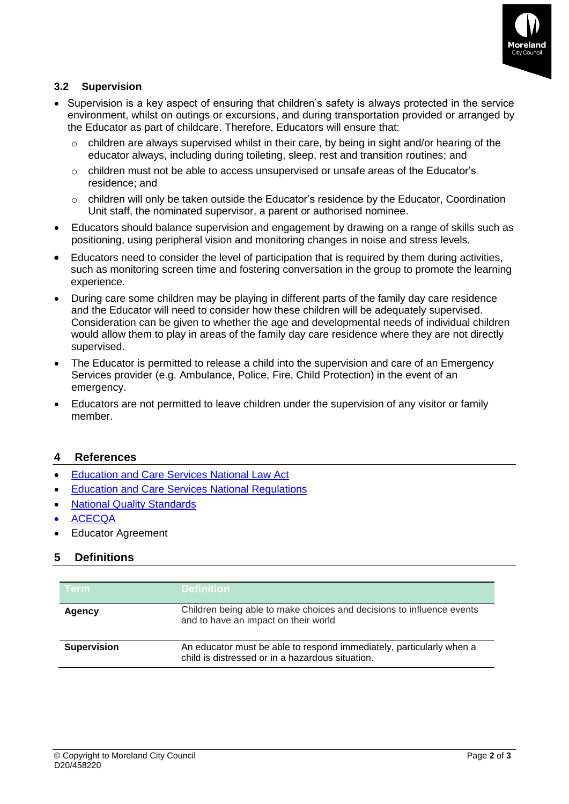

## **3.2 Supervision**

- Supervision is a key aspect of ensuring that children's safety is always protected in the service environment, whilst on outings or excursions, and during transportation provided or arranged by the Educator as part of childcare. Therefore, Educators will ensure that:
	- $\circ$  children are always supervised whilst in their care, by being in sight and/or hearing of the educator always, including during toileting, sleep, rest and transition routines; and
	- $\circ$  children must not be able to access unsupervised or unsafe areas of the Educator's residence; and
	- o children will only be taken outside the Educator's residence by the Educator, Coordination Unit staff, the nominated supervisor, a parent or authorised nominee.
- Educators should balance supervision and engagement by drawing on a range of skills such as positioning, using peripheral vision and monitoring changes in noise and stress levels.
- Educators need to consider the level of participation that is required by them during activities, such as monitoring screen time and fostering conversation in the group to promote the learning experience.
- During care some children may be playing in different parts of the family day care residence and the Educator will need to consider how these children will be adequately supervised. Consideration can be given to whether the age and developmental needs of individual children would allow them to play in areas of the family day care residence where they are not directly supervised.
- The Educator is permitted to release a child into the supervision and care of an Emergency Services provider (e.g. Ambulance, Police, Fire, Child Protection) in the event of an emergency.
- Educators are not permitted to leave children under the supervision of any visitor or family member.

#### **4 References**

- [Education and Care Services National Law Act](https://www.acecqa.gov.au/nqf/national-law-regulations/national-law)
- [Education and Care Services National Regulations](https://www.acecqa.gov.au/nqf/national-law-regulations/national-regulations)
- **[National Quality Standards](https://www.acecqa.gov.au/nqf/national-quality-standard)**
- [ACECQA](https://www.acecqa.gov.au/)
- Educator Agreement

#### **5 Definitions**

| <b>Term</b>        | <b>Definition</b>                                                                                                        |  |
|--------------------|--------------------------------------------------------------------------------------------------------------------------|--|
| Agency             | Children being able to make choices and decisions to influence events<br>and to have an impact on their world            |  |
| <b>Supervision</b> | An educator must be able to respond immediately, particularly when a<br>child is distressed or in a hazardous situation. |  |